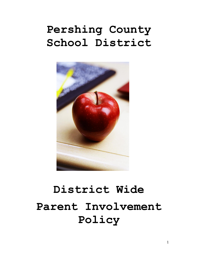# **Pershing County School District**



# **District Wide Parent Involvement Policy**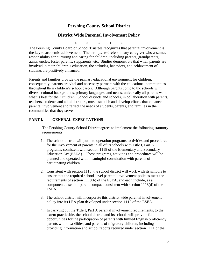## **Pershing County School District**

## **District Wide Parental Involvement Policy**

\* \* \* \* \*

The Pershing County Board of School Trustees recognizes that parental involvement is the key to academic achievement. The term *parent* refers to any caregiver who assumes responsibility for nurturing and caring for children, including parents, grandparents, aunts, uncles, foster parents, stepparents, etc. Studies demonstrate that when parents are involved in their children's education, the attitudes, behaviors, and achievement of students are positively enhanced.

Parents and families provide the primary educational environment for children; consequently, parents are vital and necessary partners with the educational communities throughout their children's school career. Although parents come to the schools with diverse cultural backgrounds, primary languages, and needs, universally all parents want what is best for their children. School districts and schools, in collaboration with parents, teachers, students and administrators, must establish and develop efforts that enhance parental involvement and reflect the needs of students, parents, and families in the communities that they serve.

#### **PART I. GENERAL EXPECTATIONS**

The Pershing County School District agrees to implement the following statutory requirements:

- 1. The school district will put into operation programs, activities and procedures for the involvement of parents in all of its schools with Title I, Part A programs, consistent with section 1118 of the Elementary and Secondary Education Act (ESEA). Those programs, activities and procedures will be planned and operated with meaningful consultation with parents of participating children.
- 2. Consistent with section 1118, the school district will work with its schools to ensure that the required school-level parental involvement policies meet the requirements of section 1118(b) of the ESEA, and each include, as a component, a school-parent compact consistent with section 1118(d) of the ESEA.
- 3. The school district will incorporate this district wide parental involvement policy into its LEA plan developed under section 1112 of the ESEA.
- 4. In carrying out the Title I, Part A parental involvement requirements, to the extent practicable, the school district and its schools will provide full opportunities for the participation of parents with limited English proficiency, parents with disabilities, and parents of migratory children, including providing information and school reports required under section 1111 of the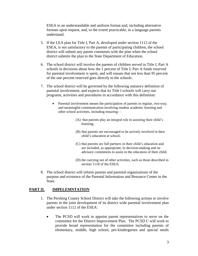ESEA in an understandable and uniform format and, including alternative formats upon request, and, to the extent practicable, in a language parents understand.

- 5. If the LEA plan for Title I, Part A, developed under section 1112 of the ESEA, is not satisfactory to the parents of participating children, the school district will submit any parent comments with the plan when the school district submits the plan to the State Department of Education.
- 6. The school district will involve the parents of children served in Title I, Part A schools in decisions about how the 1 percent of Title I, Part A funds reserved for parental involvement is spent, and will ensure that not less than 95 percent of the one percent reserved goes directly to the schools.
- 7. The school district will be governed by the following statutory definition of parental involvement, and expects that its Title I schools will carry out programs, activities and procedures in accordance with this definition:
	- Parental involvement means the participation of parents in regular, two-way, and meaningful communication involving student academic learning and other school activities, including ensuring—
		- (A) that parents play an integral role in assisting their child's learning;
		- (B) that parents are encouraged to be actively involved in their child's education at school;
		- (C) that parents are full partners in their child's education and are included, as appropriate, in decision-making and on advisory committees to assist in the education of their child;
		- (D) the carrying out of other activities, such as those described in section 1118 of the ESEA*.*
- 8. The school district will inform parents and parental organizations of the purpose and existence of the Parental Information and Resource Center in the State.

#### **PART II. IMPELEMNTATION**

- 1. The Pershing County School District will take the following actions to involve parents in the joint development of its district wide parental involvement plan under section 1112 of the ESEA:
	- The PCSD will work to appoint parent representatives to serve on the committee for the District Improvement Plan. The PCSD C will work to provide broad representation for the committee including parents of elementary, middle, high school, pre-kindergarten and special needs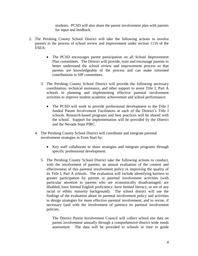students. PCSD will also share the parent involvement plan with parents for input and feedback.

- 2. The Pershing County School District will take the following actions to involve parents in the process of school review and improvement under section 1116 of the ESEA:
	- The PCSD encourages parent participation on all School Improvement Plan committees. The District will provide, train and encourage parents to better understand the school review and improvement process so that parents are knowledgeable of the process and can make informed contributions to SIP committees.
	- 3. The Pershing County School District will provide the following necessary coordination, technical assistance, and other support to assist Title I, Part A schools in planning and implementing effective parental involvement activities to improve student academic achievement and school performance:
		- The PCSD will work to provide professional development to the Title I funded Parent Involvement Facilitators at each of the District's Title I schools. Research-based programs and best practices will be shared with the school. Support for implementation will be provided by the District and the Nevada State PIRC.
	- 4. The Pershing County School District will coordinate and integrate parental involvement strategies in Even Start by:
		- Key staff collaborate to share strategies and integrate programs through specific professional development.
		- 5. The Pershing County School District take the following actions to conduct, with the involvement of parents, an annual evaluation of the content and effectiveness of this parental involvement policy in improving the quality of its Title I, Part A schools. The evaluation will include identifying barriers to greater participation by parents in parental involvement activities (with particular attention to parents who are economically disadvantaged, are disabled, have limited English proficiency, have limited literacy, or are of any racial or ethnic minority background). The school district will use the findings of the evaluation about its parental involvement policy and activities to design strategies for more effective parental involvement, and to revise, if necessary (and with the involvement of parents) its parental involvement policies.

The District Parent Involvement Council will collect school site data on parent involvement annually through a comprehensive district-wide needs assessment. The data will be provided to schools in time to guide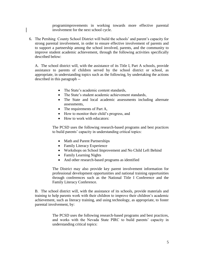programimprovements in working towards more effective parental involvement for the next school cycle.

6. The Pershing County School District will build the schools' and parent's capacity for strong parental involvement, in order to ensure effective involvement of parents and to support a partnership among the school involved, parents, and the community to improve student academic achievement, through the following activities specifically described below:

A. The school district will, with the assistance of its Title I, Part A schools, provide assistance to parents of children served by the school district or school, as appropriate, in understanding topics such as the following, by undertaking the actions described in this paragraph --

- The State's academic content standards,
- The State's student academic achievement standards,
- The State and local academic assessments including alternate assessments,
- The requirements of Part A,
- How to monitor their child's progress, and
- How to work with educators:

The PCSD uses the following research-based programs and best practices to build parents' capacity in understanding critical topics:

- Math and Parent Partnerships
- Family Literacy Experience
- Workshops on School Improvement and No Child Left Behind
- Family Learning Nights
- And other research-based programs as identified

The District may also provide key parent involvement information for professional development opportunities and national training opportunities through conferences such as the National Title I Conference and the Family Literacy Conference.

B. The school district will, with the assistance of its schools, provide materials and training to help parents work with their children to improve their children's academic achievement, such as literacy training, and using technology, as appropriate, to foster parental involvement, by:

> The PCSD uses the following research-based programs and best practices, and works with the Nevada State PIRC to build parents' capacity in understanding critical topics: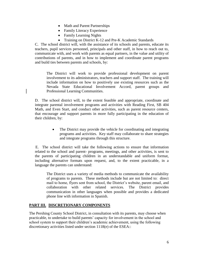- Math and Parent Partnerships
- Family Literacy Experience
- Family Learning Nights
- Training on District K-12 and Pre-K Academic Standards

C. The school district will, with the assistance of its schools and parents, educate its teachers, pupil services personnel, principals and other staff, in how to reach out to, communicate with, and work with parents as equal partners, in the value and utility of contributions of parents, and in how to implement and coordinate parent programs and build ties between parents and schools, by:

The District will work to provide professional development on parent involvement to its administrators, teachers and support staff. The training will include information on how to positively use existing resources such as the Nevada State Educational Involvement Accord, parent groups and Professional Learning Communities.

D. The school district will, to the extent feasible and appropriate, coordinate and integrate parental involvement programs and activities with Reading First, SB 404 Math, and Even Start, and conduct other activities, such as parent resource centers, that encourage and support parents in more fully participating in the education of their children, by:

> • The District may provide the vehicle for coordinating and integrating programs and activities. Key staff may collaborate to share strategies and integrate programs through this structure.

 E. The school district will take the following actions to ensure that information related to the school and parent- programs, meetings, and other activities, is sent to the parents of participating children in an understandable and uniform format, including alternative formats upon request, and, to the extent practicable, in a language the parents can understand:

The District uses a variety of media methods to communicate the availability of programs to parents. These methods include but are not limited to: direct mail to home, flyers sent from school, the District's website, parent email, and collaboration with other related services. The District provides communication in other languages when possible and provides a dedicated phone line with information in Spanish.

#### **PART III. DISCRETIONARY COMPONENTS**

The Pershing County School District, in consultation with its parents, may choose when practicable, to undertake to build parents' capacity for involvement in the school and school system to support their children's academic achievement, using the following discretionary activities listed under section 1118(e) of the ESEA::